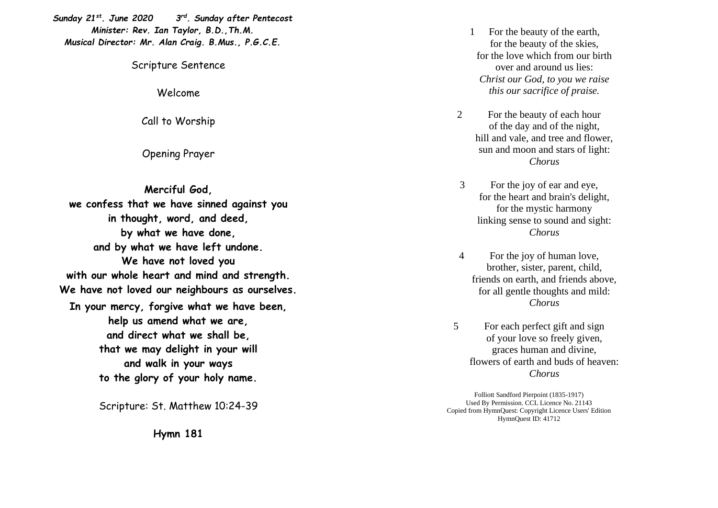*Sunday 21st . June 2020 3 rd . Sunday after Pentecost Minister: Rev. Ian Taylor, B.D.,Th.M. Musical Director: Mr. Alan Craig. B.Mus., P.G.C.E.*

Scripture Sentence

Welcome

Call to Worship

Opening Prayer

**Merciful God, we confess that we have sinned against you in thought, word, and deed, by what we have done, and by what we have left undone. We have not loved you with our whole heart and mind and strength. We have not loved our neighbours as ourselves. In your mercy, forgive what we have been, help us amend what we are, and direct what we shall be, that we may delight in your will and walk in your ways to the glory of your holy name.**

Scripture: St. Matthew 10 :24 -39

**Hymn 181**

1 For the beauty of the earth, for the beauty of the skies, for the love which from our birth over and around us lies: *Christ our God, to you we raise this our sacrifice of praise.* 

- 2 For the beauty of each hour of the day and of the night, hill and vale, and tree and flower, sun and moon and stars of light: *Chorus*
- 3 For the joy of ear and eye, for the heart and brain's delight, for the mystic harmony linking sense to sound and sight: *Chorus*
- 4 For the joy of human love, brother, sister, parent, child, friends on earth, and friends above, for all gentle thoughts and mild: *Chorus*
- 5 For each perfect gift and sign of your love so freely given, graces human and divine, flowers of earth and buds of heaven: *Chorus*

Folliott Sandford Pierpoint (1835 -1917) Used By Permission. CCL Licence No. 21143 Copied from HymnQuest: Copyright Licence Users' Edition HymnQuest ID: 41712